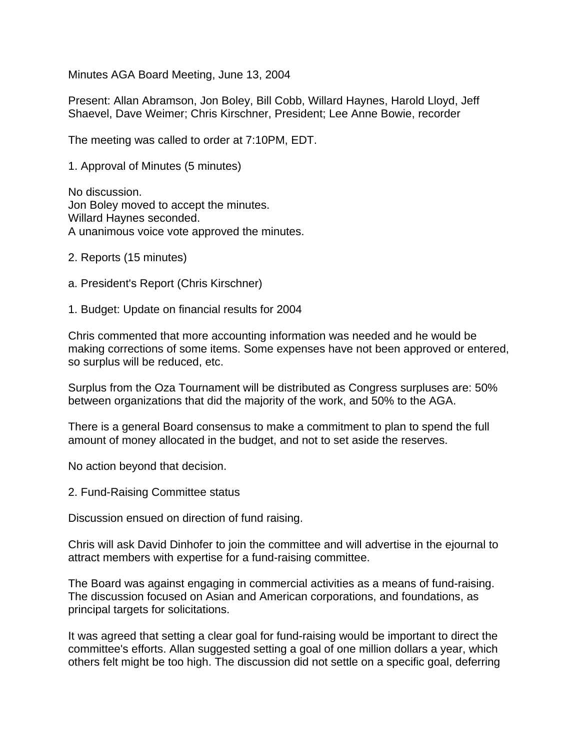Minutes AGA Board Meeting, June 13, 2004

Present: Allan Abramson, Jon Boley, Bill Cobb, Willard Haynes, Harold Lloyd, Jeff Shaevel, Dave Weimer; Chris Kirschner, President; Lee Anne Bowie, recorder

The meeting was called to order at 7:10PM, EDT.

1. Approval of Minutes (5 minutes)

No discussion. Jon Boley moved to accept the minutes. Willard Haynes seconded. A unanimous voice vote approved the minutes.

- 2. Reports (15 minutes)
- a. President's Report (Chris Kirschner)

1. Budget: Update on financial results for 2004

Chris commented that more accounting information was needed and he would be making corrections of some items. Some expenses have not been approved or entered, so surplus will be reduced, etc.

Surplus from the Oza Tournament will be distributed as Congress surpluses are: 50% between organizations that did the majority of the work, and 50% to the AGA.

There is a general Board consensus to make a commitment to plan to spend the full amount of money allocated in the budget, and not to set aside the reserves.

No action beyond that decision.

2. Fund-Raising Committee status

Discussion ensued on direction of fund raising.

Chris will ask David Dinhofer to join the committee and will advertise in the ejournal to attract members with expertise for a fund-raising committee.

The Board was against engaging in commercial activities as a means of fund-raising. The discussion focused on Asian and American corporations, and foundations, as principal targets for solicitations.

It was agreed that setting a clear goal for fund-raising would be important to direct the committee's efforts. Allan suggested setting a goal of one million dollars a year, which others felt might be too high. The discussion did not settle on a specific goal, deferring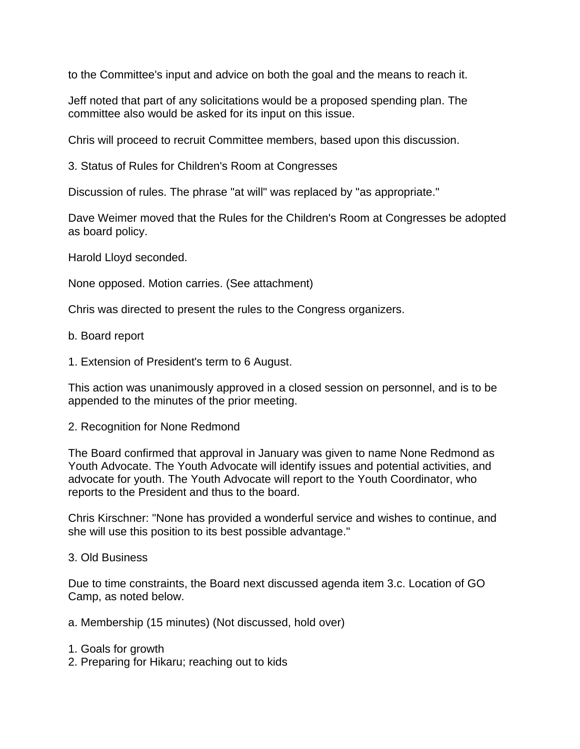to the Committee's input and advice on both the goal and the means to reach it.

Jeff noted that part of any solicitations would be a proposed spending plan. The committee also would be asked for its input on this issue.

Chris will proceed to recruit Committee members, based upon this discussion.

3. Status of Rules for Children's Room at Congresses

Discussion of rules. The phrase "at will" was replaced by "as appropriate."

Dave Weimer moved that the Rules for the Children's Room at Congresses be adopted as board policy.

Harold Lloyd seconded.

None opposed. Motion carries. (See attachment)

Chris was directed to present the rules to the Congress organizers.

- b. Board report
- 1. Extension of President's term to 6 August.

This action was unanimously approved in a closed session on personnel, and is to be appended to the minutes of the prior meeting.

## 2. Recognition for None Redmond

The Board confirmed that approval in January was given to name None Redmond as Youth Advocate. The Youth Advocate will identify issues and potential activities, and advocate for youth. The Youth Advocate will report to the Youth Coordinator, who reports to the President and thus to the board.

Chris Kirschner: "None has provided a wonderful service and wishes to continue, and she will use this position to its best possible advantage."

## 3. Old Business

Due to time constraints, the Board next discussed agenda item 3.c. Location of GO Camp, as noted below.

- a. Membership (15 minutes) (Not discussed, hold over)
- 1. Goals for growth
- 2. Preparing for Hikaru; reaching out to kids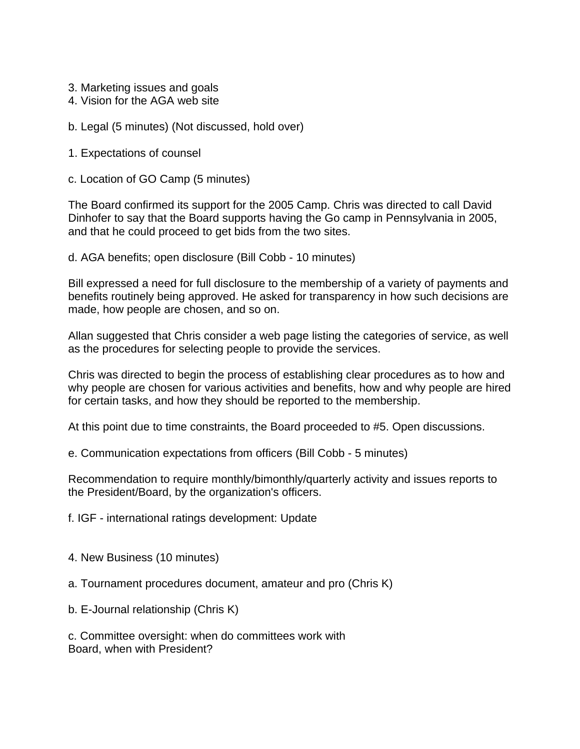- 3. Marketing issues and goals
- 4. Vision for the AGA web site
- b. Legal (5 minutes) (Not discussed, hold over)
- 1. Expectations of counsel
- c. Location of GO Camp (5 minutes)

The Board confirmed its support for the 2005 Camp. Chris was directed to call David Dinhofer to say that the Board supports having the Go camp in Pennsylvania in 2005, and that he could proceed to get bids from the two sites.

d. AGA benefits; open disclosure (Bill Cobb - 10 minutes)

Bill expressed a need for full disclosure to the membership of a variety of payments and benefits routinely being approved. He asked for transparency in how such decisions are made, how people are chosen, and so on.

Allan suggested that Chris consider a web page listing the categories of service, as well as the procedures for selecting people to provide the services.

Chris was directed to begin the process of establishing clear procedures as to how and why people are chosen for various activities and benefits, how and why people are hired for certain tasks, and how they should be reported to the membership.

At this point due to time constraints, the Board proceeded to #5. Open discussions.

e. Communication expectations from officers (Bill Cobb - 5 minutes)

Recommendation to require monthly/bimonthly/quarterly activity and issues reports to the President/Board, by the organization's officers.

f. IGF - international ratings development: Update

- 4. New Business (10 minutes)
- a. Tournament procedures document, amateur and pro (Chris K)
- b. E-Journal relationship (Chris K)

c. Committee oversight: when do committees work with Board, when with President?